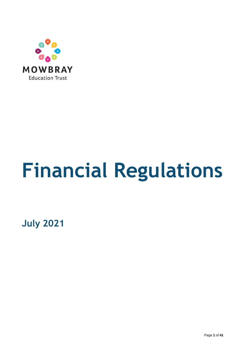

# **Financial Regulations**

**July 2021**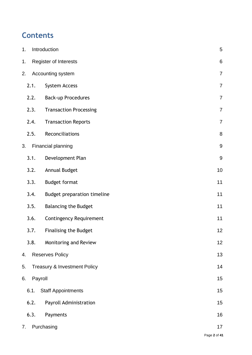# **Contents**

| 1.            | Introduction                       | 5                |
|---------------|------------------------------------|------------------|
| 1.            | <b>Register of Interests</b>       | $\,6\,$          |
| 2.            | Accounting system                  | $\overline{7}$   |
| 2.1.          | System Access                      | $\overline{7}$   |
| 2.2.          | <b>Back-up Procedures</b>          | $\overline{7}$   |
| 2.3.          | <b>Transaction Processing</b>      | $\overline{7}$   |
| 2.4.          | <b>Transaction Reports</b>         | $\overline{7}$   |
| 2.5.          | Reconciliations                    | $\,8\,$          |
| 3.            | Financial planning                 | $\boldsymbol{9}$ |
| 3.1.          | Development Plan                   | $\boldsymbol{9}$ |
| 3.2.          | Annual Budget                      | 10               |
| 3.3.          | <b>Budget format</b>               | 11               |
| 3.4.          | <b>Budget preparation timeline</b> | 11               |
| 3.5.          | <b>Balancing the Budget</b>        | 11               |
| 3.6.          | <b>Contingency Requirement</b>     | 11               |
| 3.7.          | <b>Finalising the Budget</b>       | 12               |
| 3.8.          | Monitoring and Review              | 12               |
| 4.            | <b>Reserves Policy</b>             | 13               |
| 5.            | Treasury & Investment Policy       | 14               |
| Payroll<br>6. |                                    | 15               |
| 6.1.          | <b>Staff Appointments</b>          | 15               |
| 6.2.          | Payroll Administration             | 15               |
| 6.3.          | Payments                           | 16               |
| 7.            | Purchasing                         | 17               |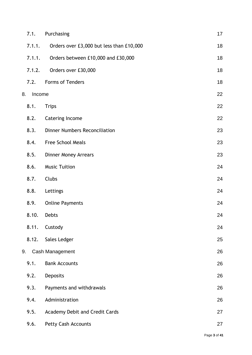|    | 7.1.   | Purchasing                               | 17 |
|----|--------|------------------------------------------|----|
|    | 7.1.1. | Orders over £3,000 but less than £10,000 | 18 |
|    | 7.1.1. | Orders between £10,000 and £30,000       | 18 |
|    | 7.1.2. | Orders over £30,000                      | 18 |
|    | 7.2.   | Forms of Tenders                         | 18 |
| 8. | Income |                                          | 22 |
|    | 8.1.   | <b>Trips</b>                             | 22 |
|    | 8.2.   | <b>Catering Income</b>                   | 22 |
|    | 8.3.   | <b>Dinner Numbers Reconciliation</b>     | 23 |
|    | 8.4.   | <b>Free School Meals</b>                 | 23 |
|    | 8.5.   | <b>Dinner Money Arrears</b>              | 23 |
|    | 8.6.   | <b>Music Tuition</b>                     | 24 |
|    | 8.7.   | Clubs                                    | 24 |
|    | 8.8.   | Lettings                                 | 24 |
|    | 8.9.   | <b>Online Payments</b>                   | 24 |
|    | 8.10.  | <b>Debts</b>                             | 24 |
|    | 8.11.  | Custody                                  | 24 |
|    | 8.12.  | Sales Ledger                             | 25 |
| 9. |        | Cash Management                          | 26 |
|    | 9.1.   | <b>Bank Accounts</b>                     | 26 |
|    | 9.2.   | Deposits                                 | 26 |
|    | 9.3.   | Payments and withdrawals                 | 26 |
|    | 9.4.   | Administration                           | 26 |
|    | 9.5.   | Academy Debit and Credit Cards           | 27 |
|    | 9.6.   | Petty Cash Accounts                      | 27 |
|    |        |                                          |    |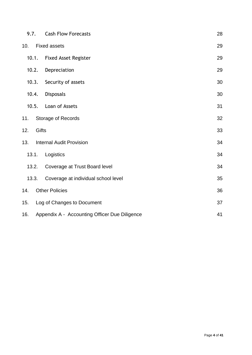| 9.7.  |       | <b>Cash Flow Forecasts</b>                    | 28 |
|-------|-------|-----------------------------------------------|----|
| 10.   |       | <b>Fixed assets</b>                           | 29 |
| 10.1. |       | <b>Fixed Asset Register</b>                   | 29 |
| 10.2. |       | Depreciation                                  | 29 |
| 10.3. |       | Security of assets                            | 30 |
| 10.4. |       | <b>Disposals</b>                              | 30 |
| 10.5. |       | Loan of Assets                                | 31 |
| 11.   |       | Storage of Records                            | 32 |
| 12.   | Gifts |                                               | 33 |
| 13.   |       | <b>Internal Audit Provision</b>               | 34 |
| 13.1. |       | Logistics                                     | 34 |
| 13.2. |       | Coverage at Trust Board level                 | 34 |
| 13.3. |       | Coverage at individual school level           | 35 |
| 14.   |       | <b>Other Policies</b>                         | 36 |
| 15.   |       | Log of Changes to Document                    | 37 |
| 16.   |       | Appendix A - Accounting Officer Due Diligence | 41 |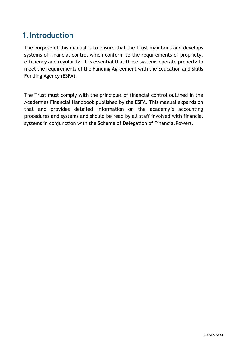## <span id="page-4-0"></span>**1.Introduction**

The purpose of this manual is to ensure that the Trust maintains and develops systems of financial control which conform to the requirements of propriety, efficiency and regularity. It is essential that these systems operate properly to meet the requirements of the Funding Agreement with the Education and Skills Funding Agency (ESFA).

The Trust must comply with the principles of financial control outlined in the Academies Financial Handbook published by the ESFA. This manual expands on that and provides detailed information on the academy's accounting procedures and systems and should be read by all staff involved with financial systems in conjunction with the Scheme of Delegation of FinancialPowers.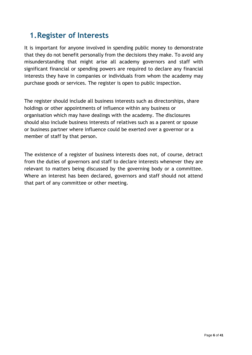## <span id="page-5-0"></span>**1.Register of Interests**

It is important for anyone involved in spending public money to demonstrate that they do not benefit personally from the decisions they make. To avoid any misunderstanding that might arise all academy governors and staff with significant financial or spending powers are required to declare any financial interests they have in companies or individuals from whom the academy may purchase goods or services. The register is open to public inspection.

The register should include all business interests such as directorships, share holdings or other appointments of influence within any business or organisation which may have dealings with the academy. The disclosures should also include business interests of relatives such as a parent or spouse or business partner where influence could be exerted over a governor or a member of staff by that person.

The existence of a register of business interests does not, of course, detract from the duties of governors and staff to declare interests whenever they are relevant to matters being discussed by the governing body or a committee. Where an interest has been declared, governors and staff should not attend that part of any committee or other meeting.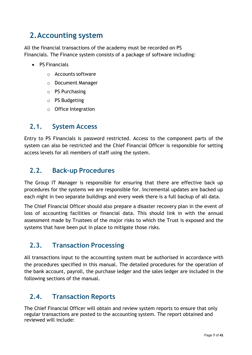# <span id="page-6-0"></span>**2.Accounting system**

All the financial transactions of the academy must be recorded on PS Financials. The Finance system consists of a package of software including:

- PS Financials
	- o Accounts software
	- o Document Manager
	- o PS Purchasing
	- o PS Budgeting
	- o Office Integration

#### <span id="page-6-1"></span>**2.1. System Access**

Entry to PS Financials is password restricted. Access to the component parts of the system can also be restricted and the Chief Financial Officer is responsible for setting access levels for all members of staff using the system.

#### <span id="page-6-2"></span>**2.2. Back-up Procedures**

The Group IT Manager is responsible for ensuring that there are effective back up procedures for the systems we are responsible for. Incremental updates are backed up each night in two separate buildings and every week there is a full backup of all data.

The Chief Financial Officer should also prepare a disaster recovery plan in the event of loss of accounting facilities or financial data. This should link in with the annual assessment made by Trustees of the major risks to which the Trust is exposed and the systems that have been put in place to mitigate those risks.

## <span id="page-6-3"></span>**2.3. Transaction Processing**

All transactions input to the accounting system must be authorised in accordance with the procedures specified in this manual. The detailed procedures for the operation of the bank account, payroll, the purchase ledger and the sales ledger are included in the following sections of the manual.

## <span id="page-6-4"></span>**2.4. Transaction Reports**

The Chief Financial Officer will obtain and review system reports to ensure that only regular transactions are posted to the accounting system. The report obtained and reviewed will include: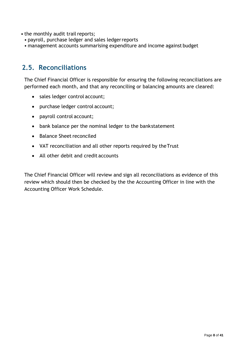- the monthly audit trail reports;
	- payroll, purchase ledger and sales ledgerreports
	- management accounts summarising expenditure and income against budget

#### <span id="page-7-0"></span>**2.5. Reconciliations**

The Chief Financial Officer is responsible for ensuring the following reconciliations are performed each month, and that any reconciling or balancing amounts are cleared:

- sales ledger control account;
- purchase ledger control account;
- payroll control account;
- bank balance per the nominal ledger to the bankstatement
- Balance Sheet reconciled
- VAT reconciliation and all other reports required by theTrust
- All other debit and credit accounts

The Chief Financial Officer will review and sign all reconciliations as evidence of this review which should then be checked by the the Accounting Officer in line with the Accounting Officer Work Schedule.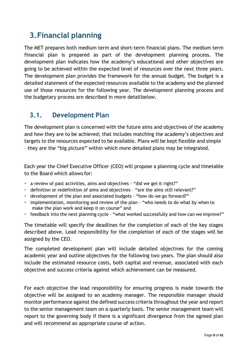# <span id="page-8-0"></span>**3.Financial planning**

The MET prepares both medium term and short-term financial plans. The medium term financial plan is prepared as part of the development planning process. The development plan indicates how the academy's educational and other objectives are going to be achieved within the expected level of resources over the next three years. The development plan provides the framework for the annual budget. The budget is a detailed statement of the expected resources available to the academy and the planned use of those resources for the following year. The development planning process and the budgetary process are described in more detailbelow.

#### <span id="page-8-1"></span>**3.1. Development Plan**

The development plan is concerned with the future aims and objectives of the academy and how they are to be achieved; that includes matching the academy's objectives and targets to the resources expected to be available. Plans will be kept flexible and simple – they are the "big picture" within which more detailed plans may be integrated.

Each year the Chief Executive Officer (CEO) will propose a planning cycle and timetable to the Board which allows for:

- a review of past activities, aims and objectives "did we get it right?"
- definition or redefinition of aims and objectives "are the aims still relevant?"
- development of the plan and associated budgets "how do we go forward?"
- implementation, monitoring and review of the plan "who needs to do what by when to make the plan work and keep it on course" and
- feedback into the next planning cycle "what worked successfully and how can we improve?"

The timetable will specify the deadlines for the completion of each of the key stages described above. Lead responsibility for the completion of each of the stages will be assigned by the CEO.

The completed development plan will include detailed objectives for the coming academic year and outline objectives for the following two years. The plan should also include the estimated resource costs, both capital and revenue, associated with each objective and success criteria against which achievement can be measured.

For each objective the lead responsibility for ensuring progress is made towards the objective will be assigned to an academy manager. The responsible manager should monitor performance against the defined success criteria throughout the year and report to the senior management team on a quarterly basis. The senior management team will report to the governing body if there is a significant divergence from the agreed plan and will recommend an appropriate course of action.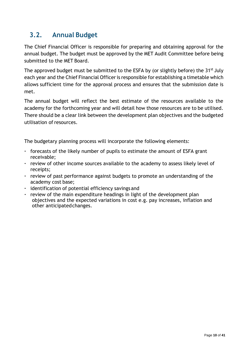## <span id="page-9-0"></span>**3.2. Annual Budget**

The Chief Financial Officer is responsible for preparing and obtaining approval for the annual budget. The budget must be approved by the MET Audit Committee before being submitted to the MET Board.

The approved budget must be submitted to the ESFA by (or slightly before) the 31<sup>st</sup> July each year and the Chief Financial Officer is responsible for establishing a timetable which allows sufficient time for the approval process and ensures that the submission date is met.

The annual budget will reflect the best estimate of the resources available to the academy for the forthcoming year and will detail how those resources are to be utilised. There should be a clear link between the development plan objectives and the budgeted utilisation ofresources.

The budgetary planning process will incorporate the following elements:

- forecasts of the likely number of pupils to estimate the amount of ESFA grant receivable;
- review of other income sources available to the academy to assess likely level of receipts;
- review of past performance against budgets to promote an understanding of the academy cost base;
- identification of potential efficiency savings and
- review of the main expenditure headings in light of the development plan objectives and the expected variations in cost e.g. pay increases, inflation and other anticipatedchanges.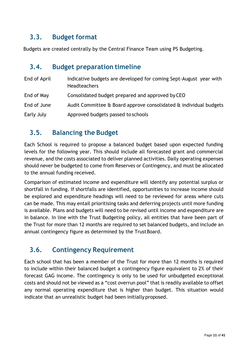## <span id="page-10-0"></span>**3.3. Budget format**

Budgets are created centrally by the Central Finance Team using PS Budgeting.

#### <span id="page-10-1"></span>**3.4. Budget preparation timeline**

| End of April | Indicative budgets are developed for coming Sept-August year with<br><b>Headteachers</b> |
|--------------|------------------------------------------------------------------------------------------|
| End of May   | Consolidated budget prepared and approved by CEO                                         |
| End of June  | Audit Committee & Board approve consolidated & individual budgets                        |
| Early July   | Approved budgets passed to schools                                                       |

#### <span id="page-10-2"></span>**3.5. Balancing the Budget**

Each School is required to propose a balanced budget based upon expected funding levels for the following year. This should include all forecasted grant and commercial revenue, and the costs associated to deliver planned activities. Daily operating expenses should never be budgeted to come from Reserves or Contingency, and must be allocated to the annual funding received.

Comparison of estimated income and expenditure will identify any potential surplus or shortfall in funding. If shortfalls are identified, opportunities to increase income should be explored and expenditure headings will need to be reviewed for areas where cuts can be made. This may entail prioritising tasks and deferring projects until more funding is available. Plans and budgets will need to be revised until income and expenditure are in balance. In line with the Trust Budgeting policy, all entities that have been part of the Trust for more than 12 months are required to set balanced budgets, and include an annual contingency figure as determined by the TrustBoard.

## <span id="page-10-3"></span>**3.6. Contingency Requirement**

Each school that has been a member of the Trust for more than 12 months is required to include within their balanced budget a contingency figure equivalent to 2% of their forecast GAG income. The contingency is only to be used for unbudgeted exceptional costs and should not be viewed as a "cost overrun pool" that is readily available to offset any normal operating expenditure that is higher than budget. This situation would indicate that an unrealistic budget had been initially proposed.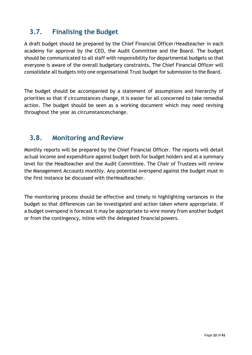## <span id="page-11-0"></span>**3.7. Finalising the Budget**

A draft budget should be prepared by the Chief Financial Officer/Headteacher in each academy for approval by the CEO, the Audit Committee and the Board. The budget should be communicated to all staff with responsibility for departmental budgets so that everyone is aware of the overall budgetary constraints. The Chief Financial Officer will consolidate all budgets into one organisational Trust budget for submission to the Board.

The budget should be accompanied by a statement of assumptions and hierarchy of priorities so that if circumstances change, it is easier for all concerned to take remedial action. The budget should be seen as a working document which may need revising throughout the year as circumstanceschange.

#### <span id="page-11-1"></span>**3.8. Monitoring and Review**

Monthly reports will be prepared by the Chief Financial Officer. The reports will detail actual income and expenditure against budget both for budget holders and at a summary level for the Headteacher and the Audit Committee. The Chair of Trustees will review the Management Accounts monthly. Any potential overspend against the budget must in the first instance be discussed with theHeadteacher.

The monitoring process should be effective and timely in highlighting variances in the budget so that differences can be investigated and action taken where appropriate. If a budget overspend is forecast it may be appropriate to wire money from another budget or from the contingency, inline with the delegated financial powers.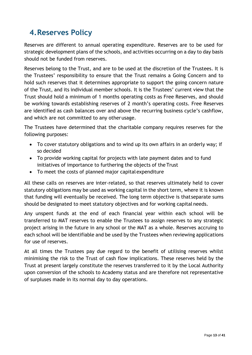# <span id="page-12-0"></span>**4.Reserves Policy**

Reserves are different to annual operating expenditure. Reserves are to be used for strategic development plans of the schools, and activities occurring on a day to day basis should not be funded from reserves.

Reserves belong to the Trust, and are to be used at the discretion of the Trustees. It is the Trustees' responsibility to ensure that the Trust remains a Going Concern and to hold such reserves that it determines appropriate to support the going concern nature of the Trust, and its individual member schools. It is the Trustees' current view that the Trust should hold a minimum of 1 months operating costs as Free Reserves, and should be working towards establishing reserves of 2 month's operating costs. Free Reserves are identified as cash balances over and above the recurring business cycle's cashflow, and which are not committed to any otherusage.

The Trustees have determined that the charitable company requires reserves for the following purposes:

- To cover statutory obligations and to wind up its own affairs in an orderly way; if so decided
- To provide working capital for projects with late payment dates and to fund initiatives of importance to furthering the objects of the Trust
- To meet the costs of planned major capitalexpenditure

All these calls on reserves are inter-related, so that reserves ultimately held to cover statutory obligations may be used as working capital in the short term, where it is known that funding will eventually be received. The long term objective is thatseparate sums should be designated to meet statutory objectives and for working capital needs.

Any unspent funds at the end of each financial year within each school will be transferred to MAT reserves to enable the Trustees to assign reserves to any strategic project arising in the future in any school or the MAT as a whole. Reserves accruing to each school will be identifiable and be used by the Trustees when reviewing applications for use of reserves.

At all times the Trustees pay due regard to the benefit of utilising reserves whilst minimising the risk to the Trust of cash flow implications. These reserves held by the Trust at present largely constitute the reserves transferred to it by the Local Authority upon conversion of the schools to Academy status and are therefore not representative of surpluses made in its normal day to day operations.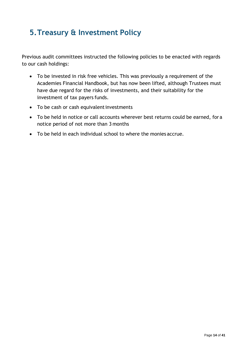# <span id="page-13-0"></span>**5.Treasury & Investment Policy**

Previous audit committees instructed the following policies to be enacted with regards to our cash holdings:

- To be invested in risk free vehicles. This was previously a requirement of the Academies Financial Handbook, but has now been lifted, although Trustees must have due regard for the risks of investments, and their suitability for the investment of tax payers funds.
- To be cash or cash equivalent investments
- To be held in notice or call accounts wherever best returns could be earned, for a notice period of not more than 3 months
- To be held in each individual school to where the monies accrue.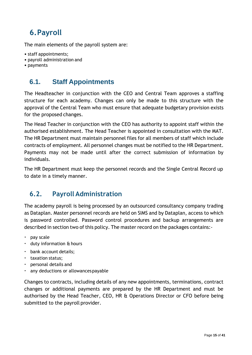# <span id="page-14-0"></span>**6.Payroll**

The main elements of the payroll system are:

- staff appointments;
- payroll administration and
- payments

#### <span id="page-14-1"></span>**6.1. Staff Appointments**

The Headteacher in conjunction with the CEO and Central Team approves a staffing structure for each academy. Changes can only be made to this structure with the approval of the Central Team who must ensure that adequate budgetary provision exists for the proposed changes.

The Head Teacher in conjunction with the CEO has authority to appoint staff within the authorised establishment. The Head Teacher is appointed in consultation with the MAT. The HR Department must maintain personnel files for all members of staff which include contracts of employment. All personnel changes must be notified to the HR Department. Payments may not be made until after the correct submission of information by individuals.

The HR Department must keep the personnel records and the Single Central Record up to date in a timely manner.

#### <span id="page-14-2"></span>**6.2. Payroll Administration**

The academy payroll is being processed by an outsourced consultancy company trading as Dataplan. Master personnel records are held on SIMS and by Dataplan, access to which is password controlled. Password control procedures and backup arrangements are described in section two of this policy. The master record on the packages contains:-

- pay scale
- duty information & hours
- bank account details;
- taxation status;
- personal details and
- any deductions or allowancespayable

Changes to contracts, including details of any new appointments, terminations, contract changes or additional payments are prepared by the HR Department and must be authorised by the Head Teacher, CEO, HR & Operations Director or CFO before being submitted to the payroll provider.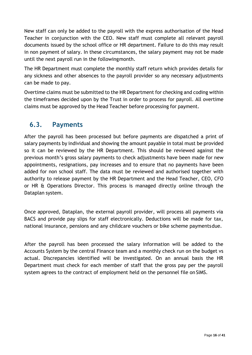New staff can only be added to the payroll with the express authorisation of the Head Teacher in conjunction with the CEO. New staff must complete all relevant payroll documents issued by the school office or HR department. Failure to do this may result in non payment of salary. In these circumstances, the salary payment may not be made until the next payroll run in the followingmonth.

The HR Department must complete the monthly staff return which provides details for any sickness and other absences to the payroll provider so any necessary adjustments can be made to pay.

Overtime claims must be submitted to the HR Department for checking and coding within the timeframes decided upon by the Trust in order to process for payroll. All overtime claims must be approved by the Head Teacher before processing for payment.

#### <span id="page-15-0"></span>**6.3. Payments**

After the payroll has been processed but before payments are dispatched a print of salary payments by individual and showing the amount payable in total must be provided so it can be reviewed by the HR Department. This should be reviewed against the previous month's gross salary payments to check adjustments have been made for new appointments, resignations, pay increases and to ensure that no payments have been added for non school staff. The data must be reviewed and authorised together with authority to release payment by the HR Department and the Head Teacher, CEO, CFO or HR & Operations Director. This process is managed directly online through the Dataplan system.

Once approved, Dataplan, the external payroll provider, will process all payments via BACS and provide pay slips for staff electronically. Deductions will be made for tax, national insurance, pensions and any childcare vouchers or bike scheme paymentsdue.

After the payroll has been processed the salary information will be added to the Accounts System by the central Finance team and a monthly check run on the budget vs actual. Discrepancies identified will be investigated. On an annual basis the HR Department must check for each member of staff that the gross pay per the payroll system agrees to the contract of employment held on the personnel file on SIMS.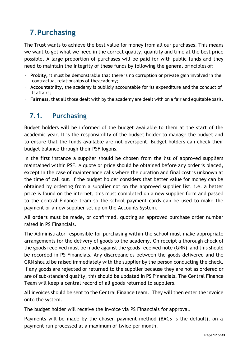# <span id="page-16-0"></span>**7.Purchasing**

The Trust wants to achieve the best value for money from all our purchases. This means we want to get what we need in the correct quality, quantity and time at the best price possible. A large proportion of purchases will be paid for with public funds and they need to maintain the integrity of these funds by following the general principles of:

- **Probity,** it must be demonstrable that there is no corruption or private gain involved in the contractual relationships of theacademy;
- **Accountability,** the academy is publicly accountable for its expenditure and the conduct of its affairs;
- **Fairness,** that all those dealt with by the academy are dealt with on a fair and equitable basis.

## <span id="page-16-1"></span>**7.1. Purchasing**

Budget holders will be informed of the budget available to them at the start of the academic year. It is the responsibility of the budget holder to manage the budget and to ensure that the funds available are not overspent. Budget holders can check their budget balance through their PSF logons.

In the first instance a supplier should be chosen from the list of approved suppliers maintained within PSF. A quote or price should be obtained before any order is placed, except in the case of maintenance calls where the duration and final cost is unknown at the time of call out. If the budget holder considers that better value for money can be obtained by ordering from a supplier not on the approved supplier list, i.e. a better price is found on the internet, this must completed on a new supplier form and passed to the central Finance team so the school payment cards can be used to make the payment or a new supplier set up on the Accounts System.

**All orders** must be made, or confirmed, quoting an approved purchase order number raised in PS Financials.

The Administrator responsible for purchasing within the school must make appropriate arrangements for the delivery of goods to the academy. On receipt a thorough check of the goods received must be made against the goods received note (GRN) and this should be recorded in PS Financials. Any discrepancies between the goods delivered and the GRN should be raised immediately with the supplier by the person conducting the check. If any goods are rejected or returned to the supplier because they are not as ordered or are of sub-standard quality, this should be updated in PS Financials. The Central Finance Team will keep a central record of all goods returned to suppliers.

All invoices should be sent to the Central Finance team. They will then enter the invoice onto the system.

The budget holder will receive the invoice via PS Financials for approval.

Payments will be made by the chosen payment method (BACS is the default), on a payment run processed at a maximum of twice per month.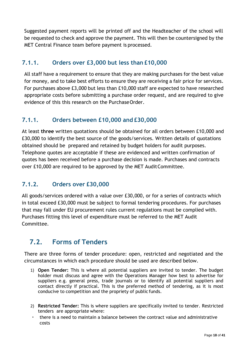Suggested payment reports will be printed off and the Headteacher of the school will be requested to check and approve the payment. This will then be countersigned by the MET Central Finance team before payment is processed.

#### <span id="page-17-0"></span>**7.1.1. Orders over £3,000 but less than £10,000**

All staff have a requirement to ensure that they are making purchases for the best value for money, and to take best efforts to ensure they are receiving a fair price for services. For purchases above £3,000 but less than £10,000 staff are expected to have researched appropriate costs before submitting a purchase order request, and are required to give evidence of this this research on the PurchaseOrder.

#### <span id="page-17-1"></span>**7.1.1. Orders between £10,000 and £30,000**

At least **three** written quotations should be obtained for all orders between £10,000 and £30,000 to identify the best source of the goods/services. Written details of quotations obtained should be prepared and retained by budget holders for audit purposes. Telephone quotes are acceptable if these are evidenced and written confirmation of quotes has been received before a purchase decision is made. Purchases and contracts over £10,000 are required to be approved by the MET AuditCommittee.

#### <span id="page-17-2"></span>**7.1.2. Orders over £30,000**

All goods/services ordered with a value over £30,000, or for a series of contracts which in total exceed £30,000 must be subject to formal tendering procedures. For purchases that may fall under EU procurement rules current regulations must be complied with. Purchases fitting this level of expenditure must be referred to the MET Audit Committee.

## <span id="page-17-3"></span>**7.2. Forms of Tenders**

There are three forms of tender procedure: open, restricted and negotiated and the circumstances in which each procedure should be used are described below.

- 1) **Open Tender:** This is where all potential suppliers are invited to tender. The budget holder must discuss and agree with the Operations Manager how best to advertise for suppliers e.g. general press, trade journals or to identify all potential suppliers and contact directly if practical. This is the preferred method of tendering, as it is most conducive to competition and the propriety of public funds.
- 2) **Restricted Tender:** This is where suppliers are specifically invited to tender. Restricted tenders are appropriate where:
- there is a need to maintain a balance between the contract value and administrative costs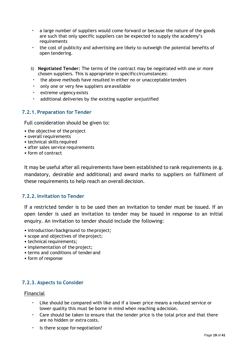- a large number of suppliers would come forward or because the nature of the goods are such that only specific suppliers can be expected to supply the academy's requirements
- the cost of publicity and advertising are likely to outweigh the potential benefits of open tendering.
- 3) **Negotiated Tender:** The terms of the contract may be negotiated with one or more chosen suppliers. This is appropriate in specificcircumstances:
	- the above methods have resulted in either no or unacceptable tenders
	- only one or very few suppliers areavailable
	- extreme urgency exists
	- additional deliveries by the existing supplier arejustified

#### **7.2.1. Preparation for Tender**

Full consideration should be given to:

- the objective of the project
- overall requirements
- technical skills required
- after sales service requirements
- form of contract

It may be useful after all requirements have been established to rank requirements (e.g. mandatory, desirable and additional) and award marks to suppliers on fulfilment of these requirements to help reach an overall decision.

#### **7.2.2.Invitation to Tender**

If a restricted tender is to be used then an invitation to tender must be issued. If an open tender is used an invitation to tender may be issued in response to an initial enquiry. An invitation to tender should include the following:

- introduction/background to the project;
- scope and objectives of theproject;
- technical requirements;
- implementation of the project;
- terms and conditions of tender and
- form of response

#### **7.2.3. Aspects to Consider**

#### Financial

- Like should be compared with like and if a lower price means a reduced service or lower quality this must be borne in mind when reaching adecision.
- Care should be taken to ensure that the tender price is the total price and that there are no hidden or extra costs.
- Is there scope for negotiation?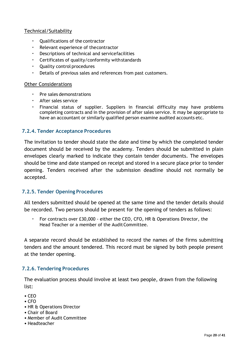#### Technical/Suitability

- Qualifications of the contractor
- Relevant experience of thecontractor
- Descriptions of technical and servicefacilities
- Certificates of quality/conformity withstandards
- Quality control procedures
- Details of previous sales and references from past customers.

#### Other Considerations

- Pre sales demonstrations
- After sales service
- Financial status of supplier. Suppliers in financial difficulty may have problems completing contracts and in the provision of after sales service. It may be appropriate to have an accountant or similarly qualified person examine audited accounts etc.

#### **7.2.4. Tender Acceptance Procedures**

The invitation to tender should state the date and time by which the completed tender document should be received by the academy. Tenders should be submitted in plain envelopes clearly marked to indicate they contain tender documents. The envelopes should be time and date stamped on receipt and stored in a secure place prior to tender opening. Tenders received after the submission deadline should not normally be accepted.

#### **7.2.5. Tender Opening Procedures**

All tenders submitted should be opened at the same time and the tender details should be recorded. Two persons should be present for the opening of tenders as follows:

• For contracts over £30,000 - either the CEO, CFO, HR & Operations Director, the Head Teacher or a member of the Audit Committee.

A separate record should be established to record the names of the firms submitting tenders and the amount tendered. This record must be signed by both people present at the tender opening.

#### **7.2.6. Tendering Procedures**

The evaluation process should involve at least two people, drawn from the following list:

- CEO
- CFO
- HR & Operations Director
- Chair of Board
- Member of Audit Committee
- Headteacher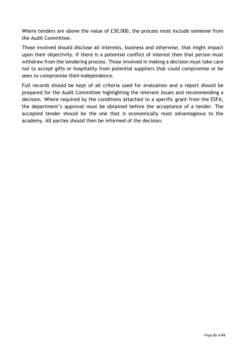Where tenders are above the value of £30,000, the process must include someone from the Audit Committee.

Those involved should disclose all interests, business and otherwise, that might impact upon their objectivity. If there is a potential conflict of interest then that person must withdraw from the tendering process. Those involved in making a decision must take care not to accept gifts or hospitality from potential suppliers that could compromise or be seen to compromise theirindependence.

Full records should be kept of all criteria used for evaluation and a report should be prepared for the Audit Committee highlighting the relevant issues and recommending a decision. Where required by the conditions attached to a specific grant from the ESFA, the department's approval must be obtained before the acceptance of a tender. The accepted tender should be the one that is economically most advantageous to the academy. All parties should then be informed of the decision.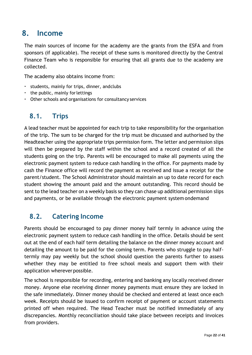## <span id="page-21-0"></span>**8. Income**

The main sources of income for the academy are the grants from the ESFA and from sponsors (if applicable). The receipt of these sums is monitored directly by the Central Finance Team who is responsible for ensuring that all grants due to the academy are collected.

The academy also obtains income from:

- students, mainly for trips, dinner, andclubs
- the public, mainly forlettings
- Other schools and organisations for consultancy services

#### <span id="page-21-1"></span>**8.1. Trips**

A lead teacher must be appointed for each trip to take responsibility for the organisation of the trip. The sum to be charged for the trip must be discussed and authorised by the Headteacher using the appropriate trips permission form. The letter and permission slips will then be prepared by the staff within the school and a record created of all the students going on the trip. Parents will be encouraged to make all payments using the electronic payment system to reduce cash handling in the office. For payments made by cash the Finance office will record the payment as received and issue a receipt for the parent/student. The School Administrator should maintain an up to date record for each student showing the amount paid and the amount outstanding. This record should be sent to the lead teacher on a weekly basis so they can chase up additional permission slips and payments, or be available through the electronic payment system ondemand

#### <span id="page-21-2"></span>**8.2. Catering Income**

Parents should be encouraged to pay dinner money half termly in advance using the electronic payment system to reduce cash handling in the office. Details should be sent out at the end of each half term detailing the balance on the dinner money account and detailing the amount to be paid for the coming term. Parents who struggle to pay halftermly may pay weekly but the school should question the parents further to assess whether they may be entitled to free school meals and support them with their application whereverpossible.

The school is responsible for recording, entering and banking any locally received dinner money. Anyone else receiving dinner money payments must ensure they are locked in the safe immediately. Dinner money should be checked and entered at least once each week. Receipts should be issued to confirm receipt of payment or account statements printed off when required. The Head Teacher must be notified immediately of any discrepancies. Monthly reconciliation should take place between receipts and invoices from providers.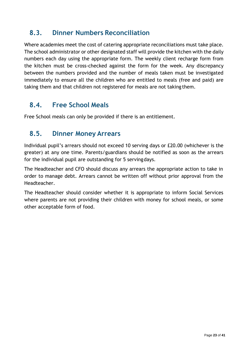#### <span id="page-22-0"></span>**8.3. Dinner Numbers Reconciliation**

Where academies meet the cost of catering appropriate reconciliations must take place. The school administrator or other designated staff will provide the kitchen with the daily numbers each day using the appropriate form. The weekly client recharge form from the kitchen must be cross-checked against the form for the week. Any discrepancy between the numbers provided and the number of meals taken must be investigated immediately to ensure all the children who are entitled to meals (free and paid) are taking them and that children not registered for meals are not taking them.

#### <span id="page-22-1"></span>**8.4. Free School Meals**

Free School meals can only be provided if there is an entitlement.

#### <span id="page-22-2"></span>**8.5. Dinner Money Arrears**

Individual pupil's arrears should not exceed 10 serving days or £20.00 (whichever is the greater) at any one time. Parents/guardians should be notified as soon as the arrears for the individual pupil are outstanding for 5 servingdays.

The Headteacher and CFO should discuss any arrears the appropriate action to take in order to manage debt. Arrears cannot be written off without prior approval from the Headteacher.

The Headteacher should consider whether it is appropriate to inform Social Services where parents are not providing their children with money for school meals, or some other acceptable form of food.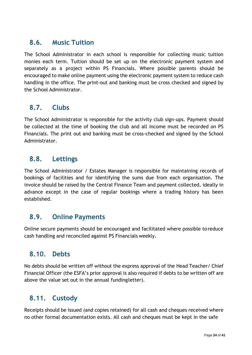#### <span id="page-23-0"></span>**8.6. Music Tuition**

The School Administrator in each school is responsible for collecting music tuition monies each term. Tuition should be set up on the electronic payment system and separately as a project within PS Financials. Where possible parents should be encouraged to make online payment using the electronic payment system to reduce cash handling in the office. The print-out and banking must be cross checked and signed by the School Administrator.

#### <span id="page-23-1"></span>**8.7. Clubs**

The School Administrator is responsible for the activity club sign-ups. Payment should be collected at the time of booking the club and all income must be recorded on PS Financials. The print out and banking must be cross-checked and signed by the School Administrator.

#### <span id="page-23-2"></span>**8.8. Lettings**

The School Administrator / Estates Manager is responsible for maintaining records of bookings of facilities and for identifying the sums due from each organisation. The invoice should be raised by the Central Finance Team and payment collected, ideally in advance except in the case of regular bookings where a trading history has been established.

#### <span id="page-23-3"></span>**8.9. Online Payments**

Online secure payments should be encouraged and facilitated where possible toreduce cash handling and reconciled against PS Financials weekly.

#### <span id="page-23-4"></span>**8.10. Debts**

No debts should be written off without the express approval of the Head Teacher/ Chief Financial Officer (the ESFA's prior approval is also required if debts to be written off are above the value set out in the annual fundingletter).

#### <span id="page-23-5"></span>**8.11. Custody**

Receipts should be issued (and copies retained) for all cash and cheques received where no other formal documentation exists. All cash and cheques must be kept in the safe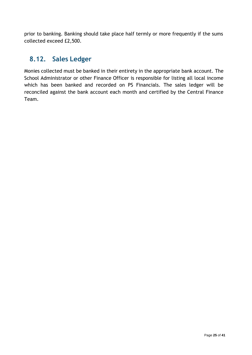prior to banking. Banking should take place half termly or more frequently if the sums collected exceed £2,500.

## <span id="page-24-0"></span>**8.12. Sales Ledger**

Monies collected must be banked in their entirety in the appropriate bank account. The School Administrator or other Finance Officer is responsible for listing all local income which has been banked and recorded on PS Financials. The sales ledger will be reconciled against the bank account each month and certified by the Central Finance Team.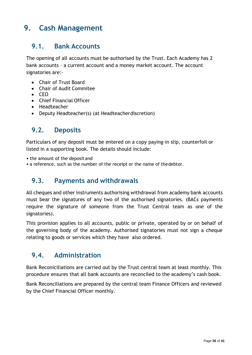# <span id="page-25-0"></span>**9. Cash Management**

#### <span id="page-25-1"></span>**9.1. Bank Accounts**

The opening of all accounts must be authorised by the Trust. Each Academy has 2 bank accounts – a current account and a money market account. The account signatories are:-

- Chair of Trust Board
- Chair of Audit Commitee
- CEO
- Chief Financial Officer
- Headteacher
- Deputy Headteacher(s) (at Headteacherdiscretion)

#### <span id="page-25-2"></span>**9.2. Deposits**

Particulars of any deposit must be entered on a copy paying-in slip, counterfoil or listed in a supporting book. The details should include:

- the amount of the deposit and
- <span id="page-25-3"></span>• a reference, such as the number of the receipt or the name of thedebtor.

#### **9.3. Payments and withdrawals**

All cheques and other instruments authorising withdrawal from academy bank accounts must bear the signatures of any two of the authorised signatories. (BACs payments require the signature of someone from the Trust Central team as one of the signatories).

This provision applies to all accounts, public or private, operated by or on behalf of the governing body of the academy. Authorised signatories must not sign a cheque relating to goods or services which they have also ordered.

#### <span id="page-25-4"></span>**9.4. Administration**

Bank Reconiciliations are carried out by the Trust central team at least monthly. This procedure ensures that all bank accounts are reconciled to the academy's cash book.

Bank Reconciliations are prepared by the central team Finance Officers and reviewed by the Chief Financial Officer monthly.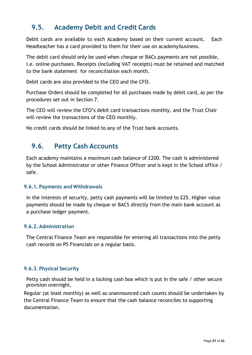## <span id="page-26-0"></span>**9.5. Academy Debit and Credit Cards**

Debit cards are available to each Academy based on their current account. Each Headteacher has a card provided to them for their use on academybusiness.

The debit card should only be used when cheque or BACs payments are not possible, i.e. online purchases. Receipts (including VAT receipts) must be retained and matched to the bank statement for reconciliation each month.

Debit cards are also provided to the CEO and the CFO.

Purchase Orders should be completed for all purchases made by debit card, as per the procedures set out in Section 7.

The CEO will review the CFO's debit card transactions monthly, and the Trust Chair will review the transactions of the CEO monthly.

No credit cards should be linked to any of the Trust bank accounts.

#### <span id="page-26-1"></span>**9.6. Petty Cash Accounts**

Each academy maintains a maximum cash balance of £200. The cash is administered by the School Administrator or other Finance Officer and is kept in the School office / safe.

#### **9.6.1. Payments and Withdrawals**

In the interests of security, petty cash payments will be limited to £25. Higher value payments should be made by cheque or BACS directly from the main bank account as a purchase ledger payment.

#### **9.6.2. Administration**

The Central Finance Team are responsible for entering all transactions into the petty cash records on PS Financials on a regular basis.

#### **9.6.3. Physical Security**

Petty cash should be held in a locking cash box which is put in the safe / other secure provision overnight.

Regular (at least monthly) as well as unannounced cash counts should be undertaken by the Central Finance Team to ensure that the cash balance reconciles to supporting documentation.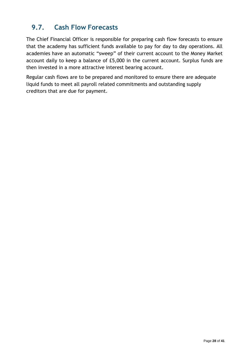## <span id="page-27-0"></span>**9.7. Cash Flow Forecasts**

The Chief Financial Officer is responsible for preparing cash flow forecasts to ensure that the academy has sufficient funds available to pay for day to day operations. All academies have an automatic "sweep" of their current account to the Money Market account daily to keep a balance of £5,000 in the current account. Surplus funds are then invested in a more attractive interest bearing account.

Regular cash flows are to be prepared and monitored to ensure there are adequate liquid funds to meet all payroll related commitments and outstanding supply creditors that are due for payment.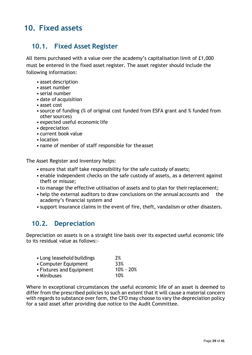# <span id="page-28-0"></span>**10. Fixed assets**

#### <span id="page-28-1"></span>**10.1. Fixed Asset Register**

All items purchased with a value over the academy's capitalisation limit of £1,000 must be entered in the fixed asset register. The asset register should include the following information:

- asset description
- asset number
- serial number
- date of acquisition
- asset cost
- source of funding (% of original cost funded from ESFA grant and % funded from other sources)
- expected useful economic life
- depreciation
- current book value
- location
- name of member of staff responsible for theasset

The Asset Register and Inventory helps:

- ensure that staff take responsibility for the safe custody of assets;
- enable independent checks on the safe custody of assets, as a deterrent against theft or misuse;
- to manage the effective utilisation of assets and to plan for their replacement;
- help the external auditors to draw conclusions on the annual accounts and the academy's financial system and
- support insurance claims in the event of fire, theft, vandalism or other disasters.

#### <span id="page-28-2"></span>**10.2. Depreciation**

Depreciation on assets is on a straight line basis over its expected useful economic life to its residual value as follows:-

| • Long leasehold buildings | 2%            |
|----------------------------|---------------|
| • Computer Equipment       | 33%           |
| • Fixtures and Equipment   | $10\% - 20\%$ |
| • Minibuses                | 10%           |

Where in exceptional circumstances the useful economic life of an asset is deemed to differ from the prescribed policies to such an extent that it will cause a material concern with regards to substance over form, the CFO may choose to vary the depreciation policy for a said asset after providing due notice to the Audit Committee.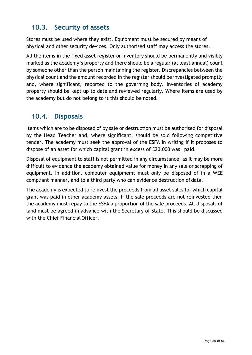## <span id="page-29-0"></span>**10.3. Security of assets**

Stores must be used where they exist. Equipment must be secured by means of physical and other security devices. Only authorised staff may access the stores.

All the items in the fixed asset register or inventory should be permanently and visibly marked as the academy's property and there should be a regular (at least annual) count by someone other than the person maintaining the register. Discrepancies between the physical count and the amount recorded in the register should be investigated promptly and, where significant, reported to the governing body. Inventories of academy property should be kept up to date and reviewed regularly. Where items are used by the academy but do not belong to it this should be noted.

#### <span id="page-29-1"></span>**10.4. Disposals**

Items which are to be disposed of by sale or destruction must be authorised for disposal by the Head Teacher and, where significant, should be sold following competitive tender. The academy must seek the approval of the ESFA in writing if it proposes to dispose of an asset for which capital grant in excess of £20,000 was paid.

Disposal of equipment to staff is not permitted in any circumstance, as it may be more difficult to evidence the academy obtained value for money in any sale or scrapping of equipment. In addition, computer equipmemt must only be disposed of in a WEE compliant manner, and to a third party who can evidence destruction of data.

The academy is expected to reinvest the proceeds from all asset sales for which capital grant was paid in other academy assets. If the sale proceeds are not reinvested then the academy must repay to the ESFA a proportion of the sale proceeds. All disposals of land must be agreed in advance with the Secretary of State. This should be discussed with the Chief Financial Officer.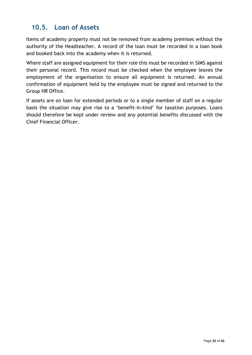## <span id="page-30-0"></span>**10.5. Loan of Assets**

Items of academy property must not be removed from academy premises without the authority of the Headteacher. A record of the loan must be recorded in a loan book and booked back into the academy when it is returned.

Where staff are assigned equipment for their role this must be recorded in SIMS against their personal record. This record must be checked when the employee leaves the employment of the organisation to ensure all equipment is returned. An annual confirmation of equipment held by the employee must be signed and returned to the Group HR Office.

If assets are on loan for extended periods or to a single member of staff on a regular basis the situation may give rise to a 'benefit-in-kind' for taxation purposes. Loans should therefore be kept under review and any potential benefits discussed with the Chief Financial Officer.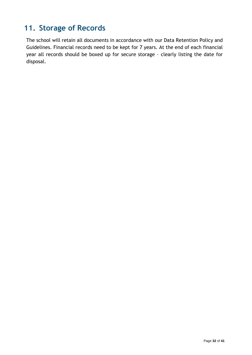# <span id="page-31-0"></span>**11. Storage of Records**

The school will retain all documents in accordance with our Data Retention Policy and Guidelines. Financial records need to be kept for 7 years. At the end of each financial year all records should be boxed up for secure storage – clearly listing the date for disposal.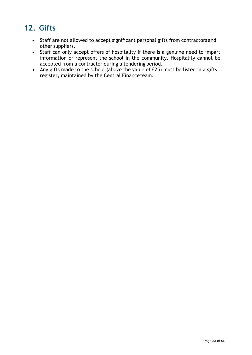# <span id="page-32-0"></span>**12. Gifts**

- Staff are not allowed to accept significant personal gifts from contractors and other suppliers.
- Staff can only accept offers of hospitality if there is a genuine need to impart information or represent the school in the community. Hospitality cannot be accepted from a contractor during a tendering period.
- Any gifts made to the school (above the value of £25) must be listed in a gifts register, maintained by the Central Financeteam.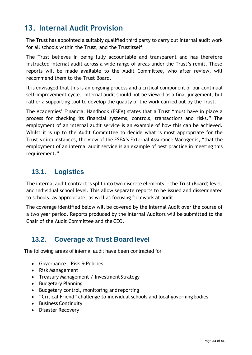## <span id="page-33-0"></span>**13. Internal Audit Provision**

The Trust has appointed a suitably qualified third party to carry out internal audit work for all schools within the Trust, and the Trustitself.

The Trust believes in being fully accountable and transparent and has therefore instructed internal audit across a wide range of areas under the Trust's remit. These reports will be made available to the Audit Committee, who after review, will recommend them to the Trust Board.

It is envisaged that this is an ongoing process and a critical component of our continual self-improvement cycle. Internal audit should not be viewed as a final judgement, but rather a supporting tool to develop the quality of the work carried out by the Trust.

The Academies' Financial Handbook (ESFA) states that a Trust "must have in place a process for checking its financial systems, controls, transactions and risks." The employment of an internal audit service is an example of how this can be achieved. Whilst it is up to the Audit Committee to decide what is most appropriate for the Trust's circumstances, the view of the ESFA's External Assurance Manager is, "that the employment of an internal audit service is an example of best practice in meeting this requirement."

#### <span id="page-33-1"></span>**13.1. Logistics**

The internal audit contract is split into two discrete elements, - the Trust (Board) level, and individual school level. This allow separate reports to be issued and disseminated to schools, as appropriate, as well as focusing fieldwork at audit.

The coverage identified below will be covered by the Internal Audit over the course of a two year period. Reports produced by the Internal Auditors will be submitted to the Chair of the Audit Committee and the CEO.

## <span id="page-33-2"></span>**13.2. Coverage at Trust Board level**

The following areas of internal audit have been contracted for:

- Governance Risk & Policies
- Risk Management
- Treasury Management / Investment Strategy
- Budgetary Planning
- Budgetary control, monitoring andreporting
- "Critical Friend" challenge to individual schools and local governing bodies
- Business Continuity
- Disaster Recovery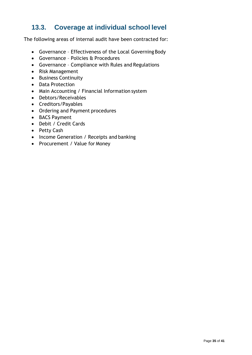## <span id="page-34-0"></span>**13.3. Coverage at individual school level**

The following areas of internal audit have been contracted for:

- Governance Effectiveness of the Local Governing Body
- Governance Policies & Procedures
- Governance Compliance with Rules and Regulations
- Risk Management
- Business Continuity
- Data Protection
- Main Accounting / Financial Information system
- Debtors/Receivables
- Creditors/Payables
- Ordering and Payment procedures
- BACS Payment
- Debit / Credit Cards
- Petty Cash
- Income Generation / Receipts and banking
- Procurement / Value for Money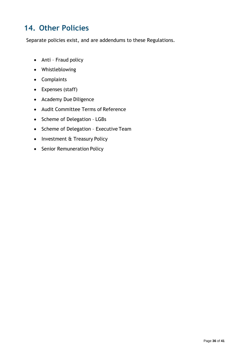# <span id="page-35-0"></span>**14. Other Policies**

Separate policies exist, and are addendums to these Regulations.

- Anti Fraud policy
- Whistleblowing
- Complaints
- Expenses (staff)
- Academy Due Diligence
- Audit Committee Terms of Reference
- Scheme of Delegation LGBs
- Scheme of Delegation Executive Team
- Investment & Treasury Policy
- Senior Remuneration Policy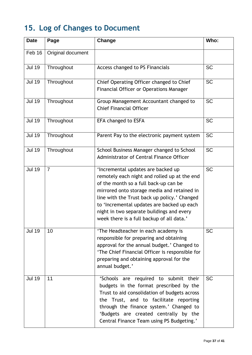# <span id="page-36-0"></span>**15. Log of Changes to Document**

| <b>Date</b>   | Page              | Change                                                                                                                                                                                                                                                                                                                                                             | Who:      |
|---------------|-------------------|--------------------------------------------------------------------------------------------------------------------------------------------------------------------------------------------------------------------------------------------------------------------------------------------------------------------------------------------------------------------|-----------|
| Feb 16        | Original document |                                                                                                                                                                                                                                                                                                                                                                    |           |
| <b>Jul 19</b> | Throughout        | Access changed to PS Financials                                                                                                                                                                                                                                                                                                                                    | <b>SC</b> |
| <b>Jul 19</b> | Throughout        | Chief Operating Officer changed to Chief<br><b>Financial Officer or Operations Manager</b>                                                                                                                                                                                                                                                                         | <b>SC</b> |
| <b>Jul 19</b> | Throughout        | Group Management Accountant changed to<br><b>Chief Financial Officer</b>                                                                                                                                                                                                                                                                                           | <b>SC</b> |
| <b>Jul 19</b> | Throughout        | EFA changed to ESFA                                                                                                                                                                                                                                                                                                                                                | <b>SC</b> |
| <b>Jul 19</b> | Throughout        | Parent Pay to the electronic payment system                                                                                                                                                                                                                                                                                                                        | <b>SC</b> |
| <b>Jul 19</b> | Throughout        | School Business Manager changed to School<br>Administrator of Central Finance Officer                                                                                                                                                                                                                                                                              | <b>SC</b> |
| <b>Jul 19</b> | $\overline{7}$    | 'Incremental updates are backed up<br>remotely each night and rolled up at the end<br>of the month so a full back-up can be<br>mirrored onto storage media and retained in<br>line with the Trust back up policy.' Changed<br>to 'Incremental updates are backed up each<br>night in two separate buildings and every<br>week there is a full backup of all data.' | <b>SC</b> |
| <b>Jul 19</b> | 10                | 'The Headteacher in each academy is<br>responsible for preparing and obtaining<br>approval for the annual budget.' Changed to<br>'The Chief Financial Officer is responsible for<br>preparing and obtaining approval for the<br>annual budget.'                                                                                                                    | <b>SC</b> |
| <b>Jul 19</b> | 11                | 'Schools are required to submit their<br>budgets in the format prescribed by the<br>Trust to aid consolidation of budgets across<br>the Trust, and to facilitate reporting<br>through the finance system.' Changed to<br>'Budgets are created centrally by the<br>Central Finance Team using PS Budgeting.'                                                        | <b>SC</b> |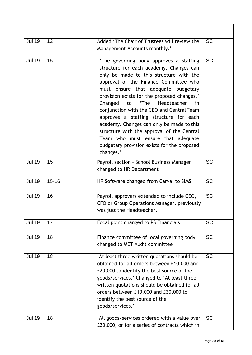| <b>Jul 19</b> | 12        | Added 'The Chair of Trustees will review the<br>Management Accounts monthly.'                                                                                                                                                                                                                                                                                                                                                                                                                                                                                                                  | <b>SC</b> |
|---------------|-----------|------------------------------------------------------------------------------------------------------------------------------------------------------------------------------------------------------------------------------------------------------------------------------------------------------------------------------------------------------------------------------------------------------------------------------------------------------------------------------------------------------------------------------------------------------------------------------------------------|-----------|
| <b>Jul 19</b> | 15        | 'The governing body approves a staffing<br>structure for each academy. Changes can<br>only be made to this structure with the<br>approval of the Finance Committee who<br>must ensure that adequate budgetary<br>provision exists for the proposed changes.'<br>Changed<br>'The<br>Headteacher<br>to<br>in<br>conjunction with the CEO and Central Team<br>approves a staffing structure for each<br>academy. Changes can only be made to this<br>structure with the approval of the Central<br>Team who must ensure that adequate<br>budgetary provision exists for the proposed<br>changes.' | <b>SC</b> |
| <b>Jul 19</b> | 15        | Payroll section - School Business Manager<br>changed to HR Department                                                                                                                                                                                                                                                                                                                                                                                                                                                                                                                          | <b>SC</b> |
| <b>Jul 19</b> | $15 - 16$ | HR Software changed from Carval to SIMS                                                                                                                                                                                                                                                                                                                                                                                                                                                                                                                                                        | <b>SC</b> |
| <b>Jul 19</b> | 16        | Payroll approvers extended to include CEO,<br>CFO or Group Operations Manager, previously<br>was just the Headteacher.                                                                                                                                                                                                                                                                                                                                                                                                                                                                         | <b>SC</b> |
| <b>Jul 19</b> | 17        | Focal point changed to PS Financials                                                                                                                                                                                                                                                                                                                                                                                                                                                                                                                                                           | <b>SC</b> |
| <b>Jul 19</b> | 18        | Finance committee of local governing body<br>changed to MET Audit committee                                                                                                                                                                                                                                                                                                                                                                                                                                                                                                                    | <b>SC</b> |
| <b>Jul 19</b> | 18        | 'At least three written quotations should be<br>obtained for all orders between £10,000 and<br>£20,000 to identify the best source of the<br>goods/services.' Changed to 'At least three<br>written quotations should be obtained for all<br>orders between £10,000 and £30,000 to<br>identify the best source of the<br>goods/services.'                                                                                                                                                                                                                                                      | <b>SC</b> |
| <b>Jul 19</b> | 18        | 'All goods/services ordered with a value over<br>£20,000, or for a series of contracts which in                                                                                                                                                                                                                                                                                                                                                                                                                                                                                                | <b>SC</b> |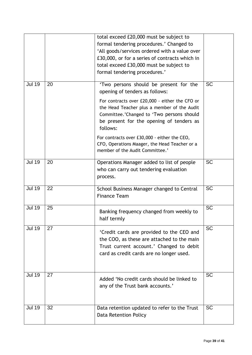|               |    | total exceed £20,000 must be subject to<br>formal tendering procedures.' Changed to<br>'All goods/services ordered with a value over<br>£30,000, or for a series of contracts which in<br>total exceed £30,000 must be subject to<br>formal tendering procedures.'                                                                                                                                                 |           |
|---------------|----|--------------------------------------------------------------------------------------------------------------------------------------------------------------------------------------------------------------------------------------------------------------------------------------------------------------------------------------------------------------------------------------------------------------------|-----------|
| <b>Jul 19</b> | 20 | 'Two persons should be present for the<br>opening of tenders as follows:<br>For contracts over £20,000 - either the CFO or<br>the Head Teacher plus a member of the Audit<br>Committee.'Changed to 'Two persons should<br>be present for the opening of tenders as<br>follows:<br>For contracts over £30,000 - either the CEO,<br>CFO, Operations Maager, the Head Teacher or a<br>member of the Audit Committee.' | <b>SC</b> |
| <b>Jul 19</b> | 20 | Operations Manager added to list of people<br>who can carry out tendering evaluation<br>process.                                                                                                                                                                                                                                                                                                                   | <b>SC</b> |
| <b>Jul 19</b> | 22 | School Business Manager changed to Central<br><b>Finance Team</b>                                                                                                                                                                                                                                                                                                                                                  | <b>SC</b> |
| <b>Jul 19</b> | 25 | Banking frequency changed from weekly to<br>half termly                                                                                                                                                                                                                                                                                                                                                            | <b>SC</b> |
| <b>Jul 19</b> | 27 | 'Credit cards are provided to the CEO and<br>the COO, as these are attached to the main<br>Trust current account.' Changed to debit<br>card as credit cards are no longer used.                                                                                                                                                                                                                                    | <b>SC</b> |
| <b>Jul 19</b> | 27 | Added 'No credit cards should be linked to<br>any of the Trust bank accounts.'                                                                                                                                                                                                                                                                                                                                     | <b>SC</b> |
| <b>Jul 19</b> | 32 | Data retention updated to refer to the Trust<br><b>Data Retention Policy</b>                                                                                                                                                                                                                                                                                                                                       | <b>SC</b> |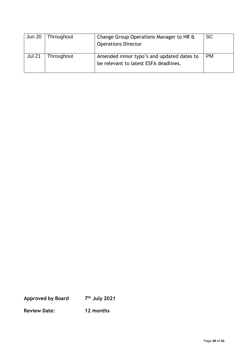| <b>Jun 20</b> | Throughout | Change Group Operations Manager to HR &<br><b>Operations Director</b>              | <b>SC</b> |
|---------------|------------|------------------------------------------------------------------------------------|-----------|
| <b>Jul 21</b> | Throughout | Amended minor typo's and updated dates to<br>be relevant to latest ESFA deadlines. | <b>PM</b> |

**Approved by Board 7 th July 2021**

**Review Date: 12 months**